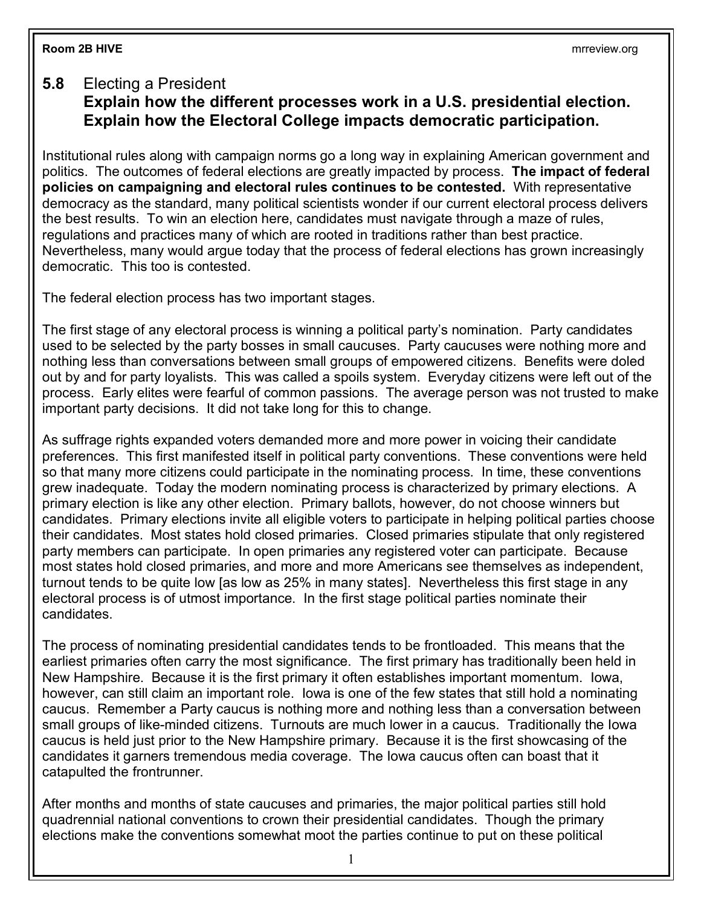## **5.8** Electing a President

## **Explain how the different processes work in a U.S. presidential election. Explain how the Electoral College impacts democratic participation.**

Institutional rules along with campaign norms go a long way in explaining American government and politics. The outcomes of federal elections are greatly impacted by process. **The impact of federal policies on campaigning and electoral rules continues to be contested.** With representative democracy as the standard, many political scientists wonder if our current electoral process delivers the best results. To win an election here, candidates must navigate through a maze of rules, regulations and practices many of which are rooted in traditions rather than best practice. Nevertheless, many would argue today that the process of federal elections has grown increasingly democratic. This too is contested.

The federal election process has two important stages.

The first stage of any electoral process is winning a political party's nomination. Party candidates used to be selected by the party bosses in small caucuses. Party caucuses were nothing more and nothing less than conversations between small groups of empowered citizens. Benefits were doled out by and for party loyalists. This was called a spoils system. Everyday citizens were left out of the process. Early elites were fearful of common passions. The average person was not trusted to make important party decisions. It did not take long for this to change.

As suffrage rights expanded voters demanded more and more power in voicing their candidate preferences. This first manifested itself in political party conventions. These conventions were held so that many more citizens could participate in the nominating process. In time, these conventions grew inadequate. Today the modern nominating process is characterized by primary elections. A primary election is like any other election. Primary ballots, however, do not choose winners but candidates. Primary elections invite all eligible voters to participate in helping political parties choose their candidates. Most states hold closed primaries. Closed primaries stipulate that only registered party members can participate. In open primaries any registered voter can participate. Because most states hold closed primaries, and more and more Americans see themselves as independent, turnout tends to be quite low [as low as 25% in many states]. Nevertheless this first stage in any electoral process is of utmost importance. In the first stage political parties nominate their candidates.

The process of nominating presidential candidates tends to be frontloaded. This means that the earliest primaries often carry the most significance. The first primary has traditionally been held in New Hampshire. Because it is the first primary it often establishes important momentum. Iowa, however, can still claim an important role. Iowa is one of the few states that still hold a nominating caucus. Remember a Party caucus is nothing more and nothing less than a conversation between small groups of like-minded citizens. Turnouts are much lower in a caucus. Traditionally the Iowa caucus is held just prior to the New Hampshire primary. Because it is the first showcasing of the candidates it garners tremendous media coverage. The Iowa caucus often can boast that it catapulted the frontrunner.

After months and months of state caucuses and primaries, the major political parties still hold quadrennial national conventions to crown their presidential candidates. Though the primary elections make the conventions somewhat moot the parties continue to put on these political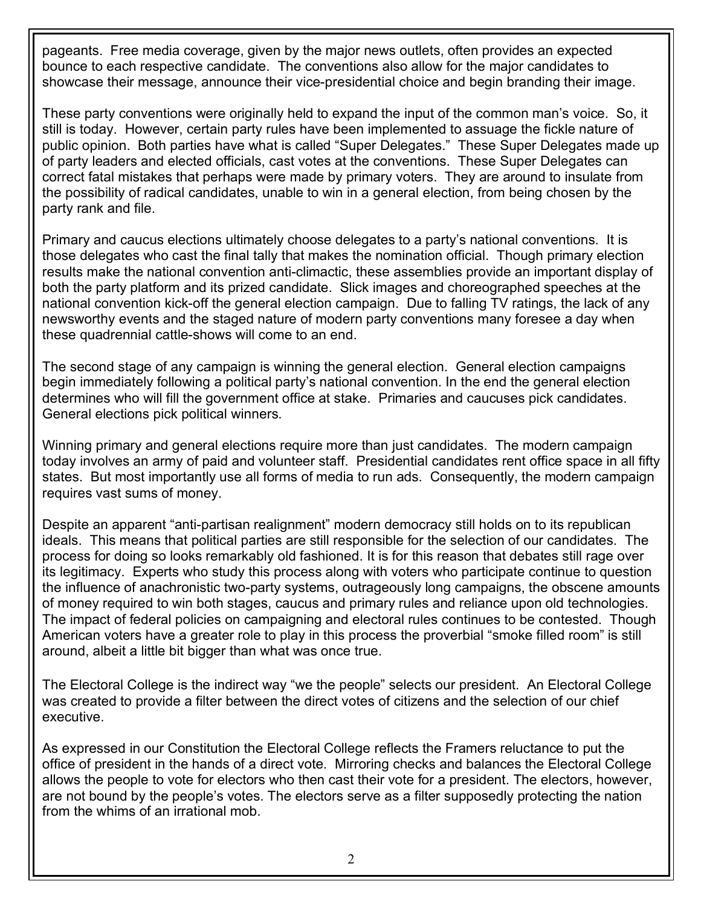pageants. Free media coverage, given by the major news outlets, often provides an expected bounce to each respective candidate. The conventions also allow for the major candidates to showcase their message, announce their vice-presidential choice and begin branding their image.

These party conventions were originally held to expand the input of the common man's voice. So, it still is today. However, certain party rules have been implemented to assuage the fickle nature of public opinion. Both parties have what is called "Super Delegates." These Super Delegates made up of party leaders and elected officials, cast votes at the conventions. These Super Delegates can correct fatal mistakes that perhaps were made by primary voters. They are around to insulate from the possibility of radical candidates, unable to win in a general election, from being chosen by the party rank and file.

Primary and caucus elections ultimately choose delegates to a party's national conventions. It is those delegates who cast the final tally that makes the nomination official. Though primary election results make the national convention anti-climactic, these assemblies provide an important display of both the party platform and its prized candidate. Slick images and choreographed speeches at the national convention kick-off the general election campaign. Due to falling TV ratings, the lack of any newsworthy events and the staged nature of modern party conventions many foresee a day when these quadrennial cattle-shows will come to an end.

The second stage of any campaign is winning the general election. General election campaigns begin immediately following a political party's national convention. In the end the general election determines who will fill the government office at stake. Primaries and caucuses pick candidates. General elections pick political winners.

Winning primary and general elections require more than just candidates. The modern campaign today involves an army of paid and volunteer staff. Presidential candidates rent office space in all fifty states. But most importantly use all forms of media to run ads. Consequently, the modern campaign requires vast sums of money.

Despite an apparent "anti-partisan realignment" modern democracy still holds on to its republican ideals. This means that political parties are still responsible for the selection of our candidates. The process for doing so looks remarkably old fashioned. It is for this reason that debates still rage over its legitimacy. Experts who study this process along with voters who participate continue to question the influence of anachronistic two-party systems, outrageously long campaigns, the obscene amounts of money required to win both stages, caucus and primary rules and reliance upon old technologies. The impact of federal policies on campaigning and electoral rules continues to be contested.Though American voters have a greater role to play in this process the proverbial "smoke filled room" is still around, albeit a little bit bigger than what was once true.

The Electoral College is the indirect way "we the people" selects our president. An Electoral College was created to provide a filter between the direct votes of citizens and the selection of our chief executive.

As expressed in our Constitution the Electoral College reflects the Framers reluctance to put the office of president in the hands of a direct vote. Mirroring checks and balances the Electoral College allows the people to vote for electors who then cast their vote for a president. The electors, however, are not bound by the people's votes. The electors serve as a filter supposedly protecting the nation from the whims of an irrational mob.